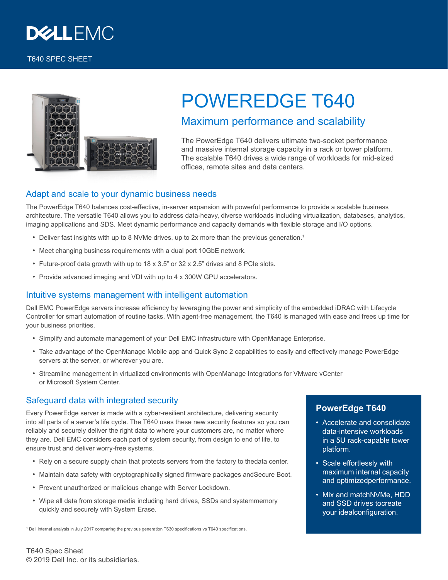

#### T640 SPEC SHEET



# POWEREDGE T640

## Maximum performance and scalability

The PowerEdge T640 delivers ultimate two-socket performance and massive internal storage capacity in a rack or tower platform. The scalable T640 drives a wide range of workloads for mid-sized offices, remote sites and data centers.

#### Adapt and scale to your dynamic business needs

The PowerEdge T640 balances cost-effective, in-server expansion with powerful performance to provide a scalable business architecture. The versatile T640 allows you to address data-heavy, diverse workloads including virtualization, databases, analytics, imaging applications and SDS. Meet dynamic performance and capacity demands with flexible storage and I/O options.

- Deliver fast insights with up to 8 NVMe drives, up to 2x more than the previous generation.<sup>1</sup>
- Meet changing business requirements with a dual port 10GbE network.
- Future-proof data growth with up to 18 x 3.5" or 32 x 2.5" drives and 8 PCIe slots.
- Provide advanced imaging and VDI with up to 4 x 300W GPU accelerators.

#### Intuitive systems management with intelligent automation

Dell EMC PowerEdge servers increase efficiency by leveraging the power and simplicity of the embedded iDRAC with Lifecycle Controller for smart automation of routine tasks. With agent-free management, the T640 is managed with ease and frees up time for your business priorities.

- Simplify and automate management of your Dell EMC infrastructure with OpenManage Enterprise.
- Take advantage of the OpenManage Mobile app and Quick Sync 2 capabilities to easily and effectively manage PowerEdge servers at the server, or wherever you are.
- Streamline management in virtualized environments with OpenManage Integrations for VMware vCenter or Microsoft System Center.

## Safeguard data with integrated security

Every PowerEdge server is made with a cyber-resilient architecture, delivering security into all parts of a server's life cycle. The T640 uses these new security features so you can reliably and securely deliver the right data to where your customers are, no matter where they are. Dell EMC considers each part of system security, from design to end of life, to ensure trust and deliver worry-free systems.

- Rely on a secure supply chain that protects servers from the factory to thedata center.
- Maintain data safety with cryptographically signed firmware packages andSecure Boot.
- Prevent unauthorized or malicious change with Server Lockdown.
- Wipe all data from storage media including hard drives, SSDs and systemmemory quickly and securely with System Erase.

1 Dell internal analysis in July 2017 comparing the previous generation T630 specifications vs T640 specifications.

### **PowerEdge T640**

- Accelerate and consolidate data-intensive workloads in a 5U rack-capable tower platform.
- Scale effortlessly with maximum internal capacity and optimizedperformance.
- Mix and matchNVMe, HDD and SSD drives tocreate your idealconfiguration.